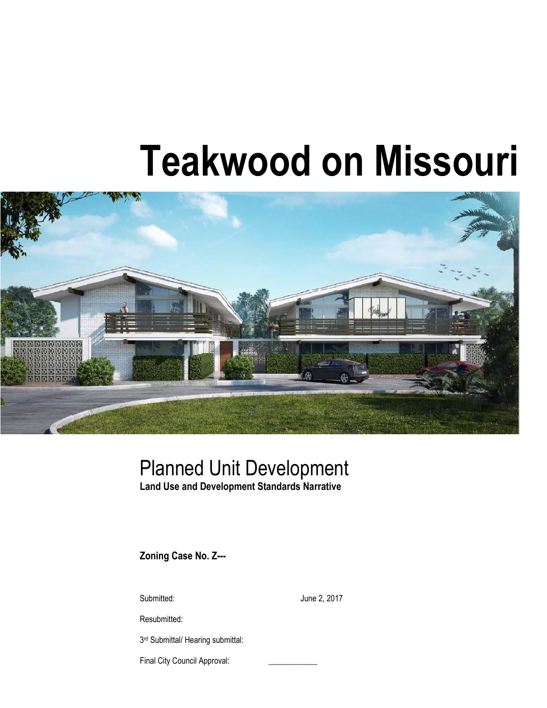# **Teakwood on Missouri**



## Planned Unit Development

**Land Use and Development Standards Narrative**

**Zoning Case No. Z---**

Submitted: June 2, 2017

Resubmitted:

3<sup>rd</sup> Submittal/ Hearing submittal:

Final City Council Approval: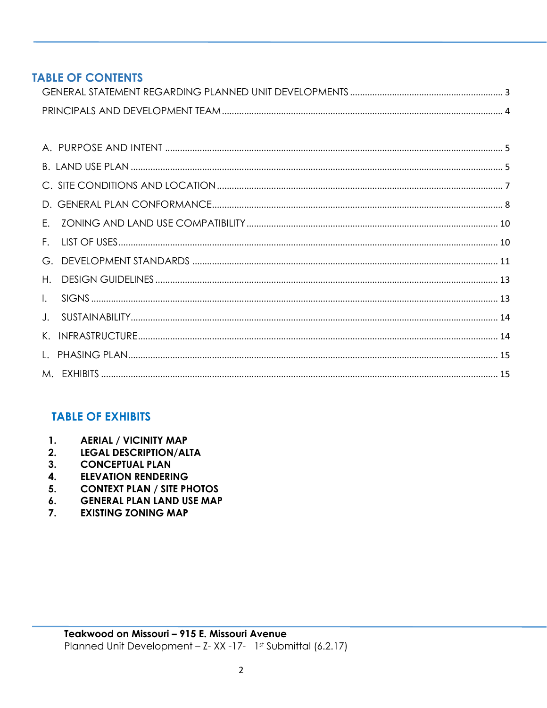## **TABLE OF CONTENTS**

| F. |  |
|----|--|
|    |  |
| H. |  |
|    |  |
|    |  |
|    |  |
|    |  |
|    |  |

## **TABLE OF EXHIBITS**

- $\mathbf{1}$ . **AERIAL / VICINITY MAP**
- $2.$ **LEGAL DESCRIPTION/ALTA**
- $3<sub>1</sub>$ **CONCEPTUAL PLAN**
- $\overline{4}$ . **ELEVATION RENDERING**
- **CONTEXT PLAN / SITE PHOTOS**  $5<sub>1</sub>$
- **GENERAL PLAN LAND USE MAP** 6.
- $\overline{7}$ . **EXISTING ZONING MAP**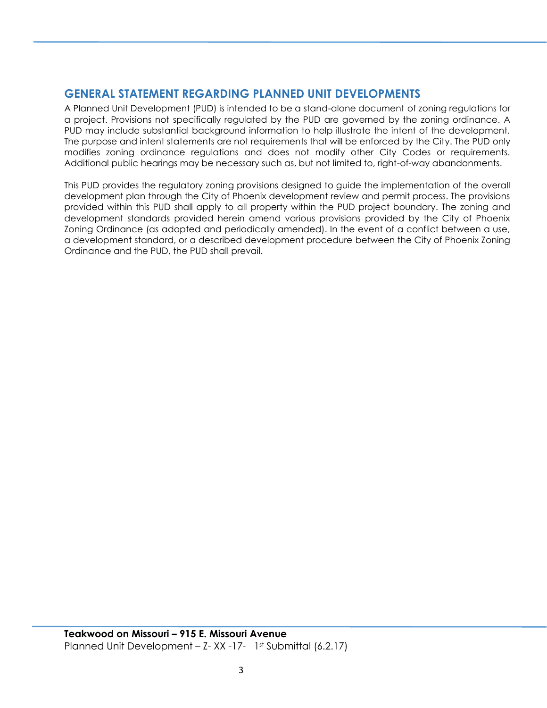## <span id="page-4-0"></span>**GENERAL STATEMENT REGARDING PLANNED UNIT DEVELOPMENTS**

A Planned Unit Development (PUD) is intended to be a stand-alone document of zoning regulations for a project. Provisions not specifically regulated by the PUD are governed by the zoning ordinance. A PUD may include substantial background information to help illustrate the intent of the development. The purpose and intent statements are not requirements that will be enforced by the City. The PUD only modifies zoning ordinance regulations and does not modify other City Codes or requirements. Additional public hearings may be necessary such as, but not limited to, right-of-way abandonments.

This PUD provides the regulatory zoning provisions designed to guide the implementation of the overall development plan through the City of Phoenix development review and permit process. The provisions provided within this PUD shall apply to all property within the PUD project boundary. The zoning and development standards provided herein amend various provisions provided by the City of Phoenix Zoning Ordinance (as adopted and periodically amended). In the event of a conflict between a use, a development standard, or a described development procedure between the City of Phoenix Zoning Ordinance and the PUD, the PUD shall prevail.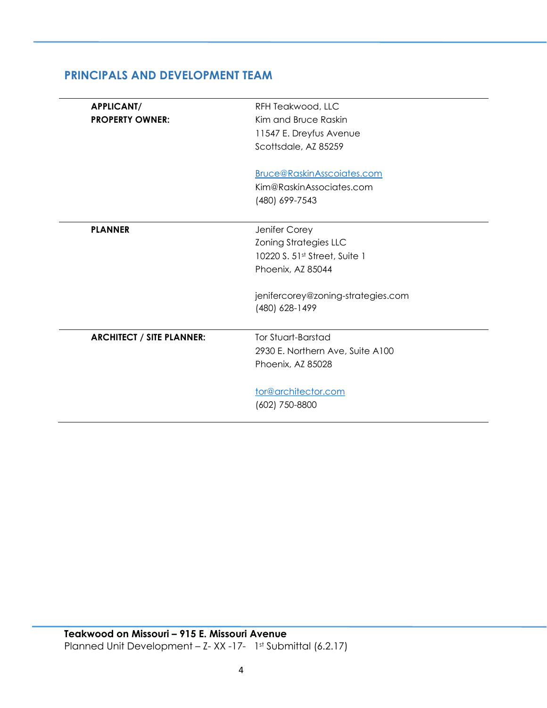| <b>APPLICANT/</b>                | RFH Teakwood, LLC                  |
|----------------------------------|------------------------------------|
| <b>PROPERTY OWNER:</b>           | Kim and Bruce Raskin               |
|                                  | 11547 E. Dreyfus Avenue            |
|                                  | Scottsdale, AZ 85259               |
|                                  | Bruce@RaskinAsscoiates.com         |
|                                  | Kim@RaskinAssociates.com           |
|                                  | (480) 699-7543                     |
|                                  |                                    |
| <b>PLANNER</b>                   | Jenifer Corey                      |
|                                  | <b>Zoning Strategies LLC</b>       |
|                                  | 10220 S. 51st Street, Suite 1      |
|                                  | Phoenix, AZ 85044                  |
|                                  | jenifercorey@zoning-strategies.com |
|                                  | (480) 628-1499                     |
|                                  |                                    |
| <b>ARCHITECT / SITE PLANNER:</b> | Tor Stuart-Barstad                 |
|                                  | 2930 E. Northern Ave, Suite A100   |
|                                  | Phoenix, AZ 85028                  |
|                                  | tor@architector.com                |
|                                  | (602) 750-8800                     |
|                                  |                                    |

## <span id="page-6-0"></span>**PRINCIPALS AND DEVELOPMENT TEAM**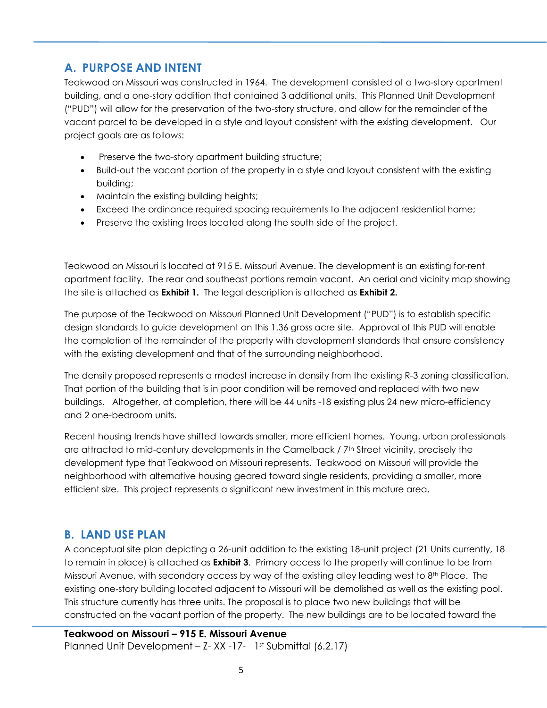## <span id="page-8-0"></span>**A. PURPOSE AND INTENT**

Teakwood on Missouri was constructed in 1964. The development consisted of a two-story apartment building, and a one-story addition that contained 3 additional units. This Planned Unit Development ("PUD") will allow for the preservation of the two-story structure, and allow for the remainder of the vacant parcel to be developed in a style and layout consistent with the existing development. Our project goals are as follows:

- Preserve the two-story apartment building structure;
- Build-out the vacant portion of the property in a style and layout consistent with the existing building;
- Maintain the existing building heights;
- Exceed the ordinance required spacing requirements to the adjacent residential home;
- Preserve the existing trees located along the south side of the project.

Teakwood on Missouri is located at 915 E. Missouri Avenue. The development is an existing for-rent apartment facility. The rear and southeast portions remain vacant. An aerial and vicinity map showing the site is attached as **Exhibit 1.** The legal description is attached as **Exhibit 2.**

The purpose of the Teakwood on Missouri Planned Unit Development ("PUD") is to establish specific design standards to guide development on this 1.36 gross acre site. Approval of this PUD will enable the completion of the remainder of the property with development standards that ensure consistency with the existing development and that of the surrounding neighborhood.

The density proposed represents a modest increase in density from the existing R-3 zoning classification. That portion of the building that is in poor condition will be removed and replaced with two new buildings. Altogether, at completion, there will be 44 units -18 existing plus 24 new micro-efficiency and 2 one-bedroom units.

Recent housing trends have shifted towards smaller, more efficient homes. Young, urban professionals are attracted to mid-century developments in the Camelback  $/7<sup>th</sup>$  Street vicinity, precisely the development type that Teakwood on Missouri represents. Teakwood on Missouri will provide the neighborhood with alternative housing geared toward single residents, providing a smaller, more efficient size. This project represents a significant new investment in this mature area.

## <span id="page-8-1"></span>**B. LAND USE PLAN**

A conceptual site plan depicting a 26-unit addition to the existing 18-unit project (21 Units currently, 18 to remain in place) is attached as **Exhibit 3**. Primary access to the property will continue to be from Missouri Avenue, with secondary access by way of the existing alley leading west to 8<sup>th</sup> Place. The existing one-story building located adjacent to Missouri will be demolished as well as the existing pool. This structure currently has three units. The proposal is to place two new buildings that will be constructed on the vacant portion of the property. The new buildings are to be located toward the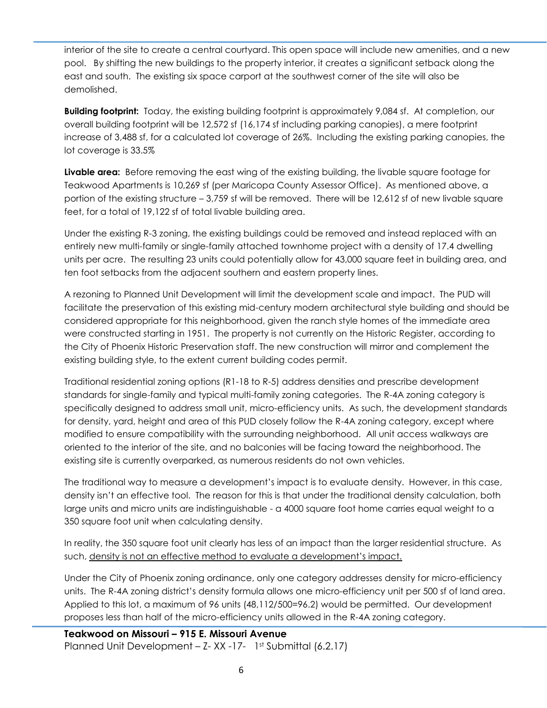interior of the site to create a central courtyard. This open space will include new amenities, and a new pool. By shifting the new buildings to the property interior, it creates a significant setback along the east and south. The existing six space carport at the southwest corner of the site will also be demolished.

**Building footprint:** Today, the existing building footprint is approximately 9,084 sf. At completion, our overall building footprint will be 12,572 sf (16,174 sf including parking canopies), a mere footprint increase of 3,488 sf, for a calculated lot coverage of 26%. Including the existing parking canopies, the lot coverage is 33.5%

**Livable area:** Before removing the east wing of the existing building, the livable square footage for Teakwood Apartments is 10,269 sf (per Maricopa County Assessor Office). As mentioned above, a portion of the existing structure – 3,759 sf will be removed. There will be 12,612 sf of new livable square feet, for a total of 19,122 sf of total livable building area.

Under the existing R-3 zoning, the existing buildings could be removed and instead replaced with an entirely new multi-family or single-family attached townhome project with a density of 17.4 dwelling units per acre. The resulting 23 units could potentially allow for 43,000 square feet in building area, and ten foot setbacks from the adjacent southern and eastern property lines.

A rezoning to Planned Unit Development will limit the development scale and impact. The PUD will facilitate the preservation of this existing mid-century modern architectural style building and should be considered appropriate for this neighborhood, given the ranch style homes of the immediate area were constructed starting in 1951. The property is not currently on the Historic Register, according to the City of Phoenix Historic Preservation staff. The new construction will mirror and complement the existing building style, to the extent current building codes permit.

Traditional residential zoning options (R1-18 to R-5) address densities and prescribe development standards for single-family and typical multi-family zoning categories. The R-4A zoning category is specifically designed to address small unit, micro-efficiency units. As such, the development standards for density, yard, height and area of this PUD closely follow the R-4A zoning category, except where modified to ensure compatibility with the surrounding neighborhood. All unit access walkways are oriented to the interior of the site, and no balconies will be facing toward the neighborhood. The existing site is currently overparked, as numerous residents do not own vehicles.

The traditional way to measure a development's impact is to evaluate density. However, in this case, density isn't an effective tool. The reason for this is that under the traditional density calculation, both large units and micro units are indistinguishable - a 4000 square foot home carries equal weight to a 350 square foot unit when calculating density.

In reality, the 350 square foot unit clearly has less of an impact than the larger residential structure. As such, density is not an effective method to evaluate a development's impact.

Under the City of Phoenix zoning ordinance, only one category addresses density for micro-efficiency units. The R-4A zoning district's density formula allows one micro-efficiency unit per 500 sf of land area. Applied to this lot, a maximum of 96 units (48,112/500=96.2) would be permitted. Our development proposes less than half of the micro-efficiency units allowed in the R-4A zoning category.

**Teakwood on Missouri – 915 E. Missouri Avenue** Planned Unit Development – Z-XX -17- 1st Submittal (6.2.17)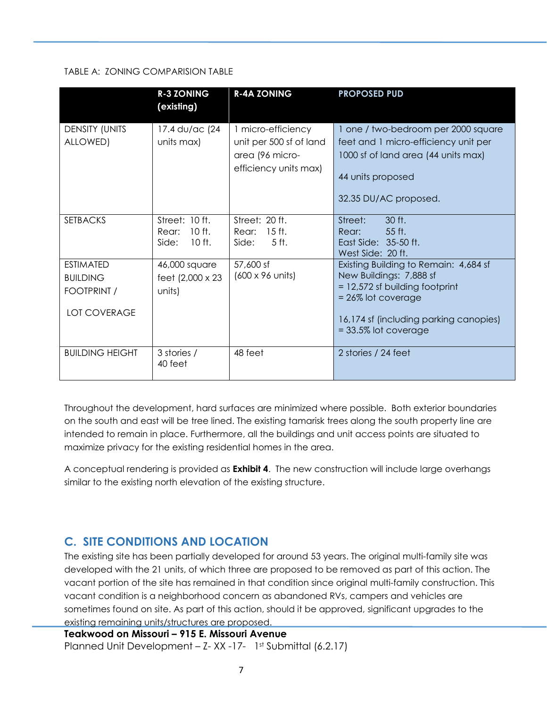## TABLE A: ZONING COMPARISION TABLE

|                                                                           | <b>R-3 ZONING</b><br>(existing)                          | <b>R-4A ZONING</b>                                                                        | <b>PROPOSED PUD</b>                                                                                                                                                                               |
|---------------------------------------------------------------------------|----------------------------------------------------------|-------------------------------------------------------------------------------------------|---------------------------------------------------------------------------------------------------------------------------------------------------------------------------------------------------|
| <b>DENSITY (UNITS</b><br>ALLOWED)                                         | 17.4 du/ac (24<br>units max)                             | 1 micro-efficiency<br>unit per 500 sf of land<br>area (96 micro-<br>efficiency units max) | 1 one / two-bedroom per 2000 square<br>feet and 1 micro-efficiency unit per<br>1000 sf of land area (44 units max)<br>44 units proposed<br>32.35 DU/AC proposed.                                  |
| <b>SETBACKS</b>                                                           | Street: 10 ft.<br>$10$ ft.<br>Rear:<br>$10$ ft.<br>Side: | Street: 20 ft.<br>Rear: 15 ft.<br>5 ft.<br>Side:                                          | Street:<br>30 ft.<br>55 ft.<br>Rear:<br>East Side: 35-50 ft.<br>West Side: 20 ft.                                                                                                                 |
| <b>ESTIMATED</b><br><b>BUILDING</b><br>FOOTPRINT /<br><b>LOT COVERAGE</b> | 46,000 square<br>feet (2,000 x 23)<br>units)             | 57,600 sf<br>(600 x 96 units)                                                             | Existing Building to Remain: 4,684 sf<br>New Buildings: 7,888 sf<br>$= 12,572$ sf building footprint<br>$= 26\%$ lot coverage<br>16,174 sf (including parking canopies)<br>$=$ 33.5% lot coverage |
| <b>BUILDING HEIGHT</b>                                                    | 3 stories /<br>40 feet                                   | 48 feet                                                                                   | 2 stories / 24 feet                                                                                                                                                                               |

Throughout the development, hard surfaces are minimized where possible. Both exterior boundaries on the south and east will be tree lined. The existing tamarisk trees along the south property line are intended to remain in place. Furthermore, all the buildings and unit access points are situated to maximize privacy for the existing residential homes in the area.

<span id="page-10-0"></span>A conceptual rendering is provided as **Exhibit 4**. The new construction will include large overhangs similar to the existing north elevation of the existing structure.

## **C. SITE CONDITIONS AND LOCATION**

The existing site has been partially developed for around 53 years. The original multi-family site was developed with the 21 units, of which three are proposed to be removed as part of this action. The vacant portion of the site has remained in that condition since original multi-family construction. This vacant condition is a neighborhood concern as abandoned RVs, campers and vehicles are sometimes found on site. As part of this action, should it be approved, significant upgrades to the existing remaining units/structures are proposed.

**Teakwood on Missouri – 915 E. Missouri Avenue** Planned Unit Development – Z-XX -17- 1st Submittal (6.2.17)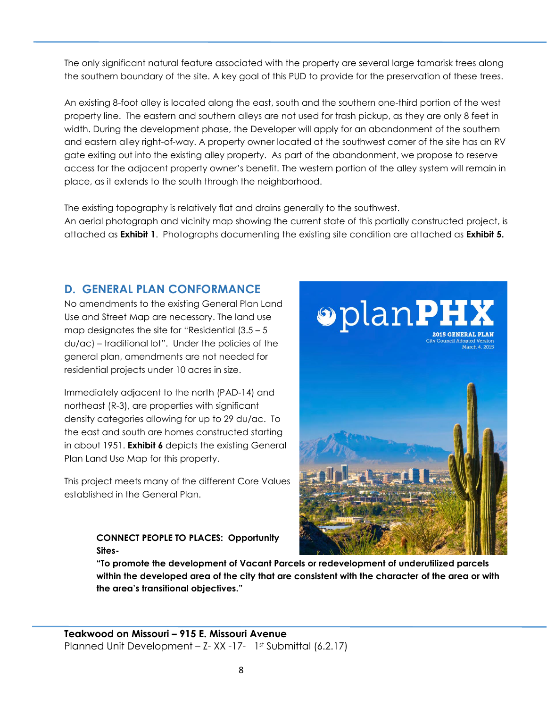The only significant natural feature associated with the property are several large tamarisk trees along the southern boundary of the site. A key goal of this PUD to provide for the preservation of these trees.

An existing 8-foot alley is located along the east, south and the southern one-third portion of the west property line. The eastern and southern alleys are not used for trash pickup, as they are only 8 feet in width. During the development phase, the Developer will apply for an abandonment of the southern and eastern alley right-of-way. A property owner located at the southwest corner of the site has an RV gate exiting out into the existing alley property. As part of the abandonment, we propose to reserve access for the adjacent property owner's benefit. The western portion of the alley system will remain in place, as it extends to the south through the neighborhood.

The existing topography is relatively flat and drains generally to the southwest. An aerial photograph and vicinity map showing the current state of this partially constructed project, is attached as **Exhibit 1**. Photographs documenting the existing site condition are attached as **Exhibit 5.**

## <span id="page-11-0"></span>**D. GENERAL PLAN CONFORMANCE**

No amendments to the existing General Plan Land Use and Street Map are necessary. The land use map designates the site for "Residential  $(3.5 - 5)$ du/ac) – traditional lot". Under the policies of the general plan, amendments are not needed for residential projects under 10 acres in size.

Immediately adjacent to the north (PAD-14) and northeast (R-3), are properties with significant density categories allowing for up to 29 du/ac. To the east and south are homes constructed starting in about 1951. **Exhibit 6** depicts the existing General Plan Land Use Map for this property.

This project meets many of the different Core Values established in the General Plan.

## **CONNECT PEOPLE TO PLACES: Opportunity Sites-**



**"To promote the development of Vacant Parcels or redevelopment of underutilized parcels within the developed area of the city that are consistent with the character of the area or with the area's transitional objectives."**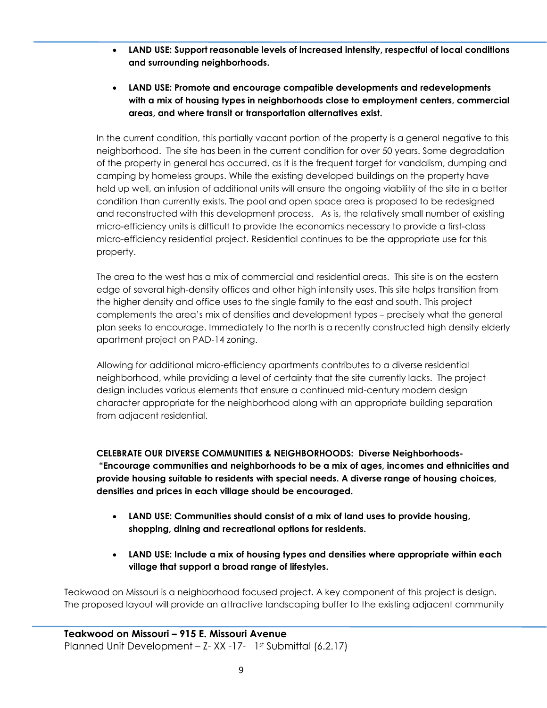- **LAND USE: Support reasonable levels of increased intensity, respectful of local conditions and surrounding neighborhoods.**
- **LAND USE: Promote and encourage compatible developments and redevelopments with a mix of housing types in neighborhoods close to employment centers, commercial areas, and where transit or transportation alternatives exist.**

In the current condition, this partially vacant portion of the property is a general negative to this neighborhood. The site has been in the current condition for over 50 years. Some degradation of the property in general has occurred, as it is the frequent target for vandalism, dumping and camping by homeless groups. While the existing developed buildings on the property have held up well, an infusion of additional units will ensure the ongoing viability of the site in a better condition than currently exists. The pool and open space area is proposed to be redesigned and reconstructed with this development process. As is, the relatively small number of existing micro-efficiency units is difficult to provide the economics necessary to provide a first-class micro-efficiency residential project. Residential continues to be the appropriate use for this property.

The area to the west has a mix of commercial and residential areas. This site is on the eastern edge of several high-density offices and other high intensity uses. This site helps transition from the higher density and office uses to the single family to the east and south. This project complements the area's mix of densities and development types – precisely what the general plan seeks to encourage. Immediately to the north is a recently constructed high density elderly apartment project on PAD-14 zoning.

Allowing for additional micro-efficiency apartments contributes to a diverse residential neighborhood, while providing a level of certainty that the site currently lacks. The project design includes various elements that ensure a continued mid-century modern design character appropriate for the neighborhood along with an appropriate building separation from adjacent residential.

**CELEBRATE OUR DIVERSE COMMUNITIES & NEIGHBORHOODS: Diverse Neighborhoods- "Encourage communities and neighborhoods to be a mix of ages, incomes and ethnicities and provide housing suitable to residents with special needs. A diverse range of housing choices, densities and prices in each village should be encouraged.**

- **LAND USE: Communities should consist of a mix of land uses to provide housing, shopping, dining and recreational options for residents.**
- **LAND USE: Include a mix of housing types and densities where appropriate within each village that support a broad range of lifestyles.**

Teakwood on Missouri is a neighborhood focused project. A key component of this project is design. The proposed layout will provide an attractive landscaping buffer to the existing adjacent community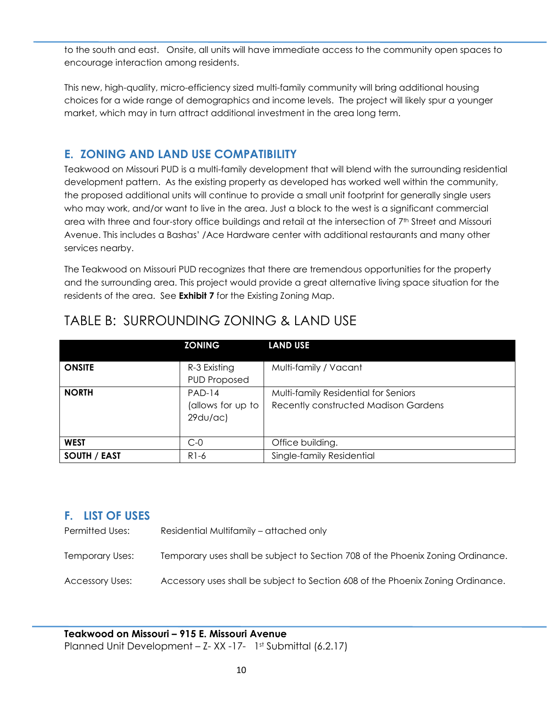to the south and east. Onsite, all units will have immediate access to the community open spaces to encourage interaction among residents.

This new, high-quality, micro-efficiency sized multi-family community will bring additional housing choices for a wide range of demographics and income levels. The project will likely spur a younger market, which may in turn attract additional investment in the area long term.

## <span id="page-13-0"></span>**E. ZONING AND LAND USE COMPATIBILITY**

Teakwood on Missouri PUD is a multi-family development that will blend with the surrounding residential development pattern. As the existing property as developed has worked well within the community, the proposed additional units will continue to provide a small unit footprint for generally single users who may work, and/or want to live in the area. Just a block to the west is a significant commercial area with three and four-story office buildings and retail at the intersection of 7<sup>th</sup> Street and Missouri Avenue. This includes a Bashas' /Ace Hardware center with additional restaurants and many other services nearby.

The Teakwood on Missouri PUD recognizes that there are tremendous opportunities for the property and the surrounding area. This project would provide a great alternative living space situation for the residents of the area. See **Exhibit 7** for the Existing Zoning Map.

|                     | <b>ZONING</b>                            | <b>LAND USE</b>                                                                     |
|---------------------|------------------------------------------|-------------------------------------------------------------------------------------|
| <b>ONSITE</b>       | R-3 Existing<br><b>PUD Proposed</b>      | Multi-family / Vacant                                                               |
| <b>NORTH</b>        | $PAD-14$<br>(allows for up to<br>29du/ac | Multi-family Residential for Seniors<br><b>Recently constructed Madison Gardens</b> |
| <b>WEST</b>         | $C-0$                                    | Office building.                                                                    |
| <b>SOUTH / EAST</b> | R1-6                                     | Single-family Residential                                                           |

## TABLE B: SURROUNDING ZONING & LAND USE

## <span id="page-13-1"></span>**F. LIST OF USES**

Permitted Uses: Residential Multifamily – attached only

Temporary Uses: Temporary uses shall be subject to Section 708 of the Phoenix Zoning Ordinance.

Accessory Uses: Accessory uses shall be subject to Section 608 of the Phoenix Zoning Ordinance.

**Teakwood on Missouri – 915 E. Missouri Avenue** Planned Unit Development - Z- XX -17- 1st Submittal (6.2.17)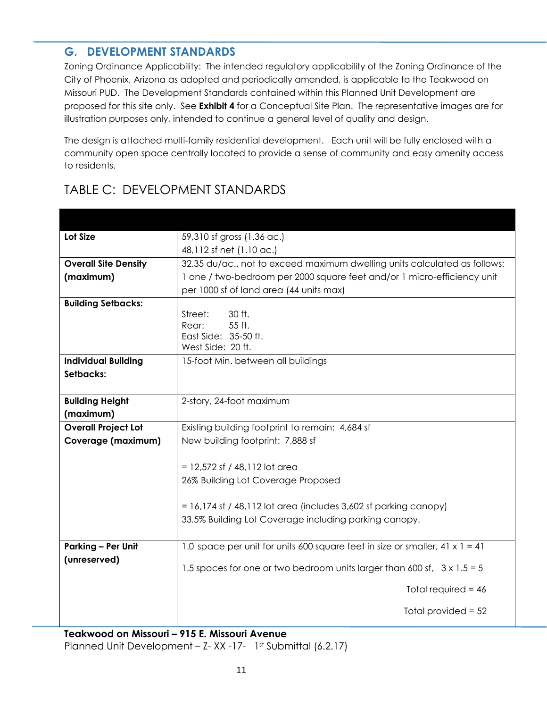## <span id="page-14-0"></span>**G. DEVELOPMENT STANDARDS**

Zoning Ordinance Applicability:The intended regulatory applicability of the Zoning Ordinance of the City of Phoenix, Arizona as adopted and periodically amended, is applicable to the Teakwood on Missouri PUD. The Development Standards contained within this Planned Unit Development are proposed for this site only. See **Exhibit 4** for a Conceptual Site Plan. The representative images are for illustration purposes only, intended to continue a general level of quality and design.

The design is attached multi-family residential development. Each unit will be fully enclosed with a community open space centrally located to provide a sense of community and easy amenity access to residents.

| Lot Size                    | 59,310 sf gross (1.36 ac.)                                                                                                  |
|-----------------------------|-----------------------------------------------------------------------------------------------------------------------------|
|                             | 48,112 sf net (1.10 ac.)                                                                                                    |
| <b>Overall Site Density</b> | 32.35 du/ac., not to exceed maximum dwelling units calculated as follows:                                                   |
| (maximum)                   | 1 one / two-bedroom per 2000 square feet and/or 1 micro-efficiency unit                                                     |
|                             | per 1000 sf of land area (44 units max)                                                                                     |
| <b>Building Setbacks:</b>   |                                                                                                                             |
|                             | 30 ft.<br>Street:                                                                                                           |
|                             | 55 ft.<br>Rear:<br>East Side: 35-50 ft.                                                                                     |
|                             | West Side: 20 ft.                                                                                                           |
| <b>Individual Building</b>  | 15-foot Min. between all buildings                                                                                          |
| Setbacks:                   |                                                                                                                             |
|                             |                                                                                                                             |
| <b>Building Height</b>      | 2-story, 24-foot maximum                                                                                                    |
| (maximum)                   |                                                                                                                             |
| <b>Overall Project Lot</b>  | Existing building footprint to remain: 4,684 sf                                                                             |
| Coverage (maximum)          | New building footprint: 7,888 sf                                                                                            |
|                             |                                                                                                                             |
|                             | $= 12,572$ sf / 48,112 lot area                                                                                             |
|                             | 26% Building Lot Coverage Proposed                                                                                          |
|                             |                                                                                                                             |
|                             | $= 16,174$ sf / 48,112 lot area (includes 3,602 sf parking canopy)<br>33.5% Building Lot Coverage including parking canopy. |
|                             |                                                                                                                             |
| <b>Parking - Per Unit</b>   | 1.0 space per unit for units 600 square feet in size or smaller, 41 $x$ 1 = 41                                              |
| (unreserved)                |                                                                                                                             |
|                             | 1.5 spaces for one or two bedroom units larger than 600 sf, $3 \times 1.5 = 5$                                              |
|                             | Total required = $46$                                                                                                       |
|                             | Total provided $= 52$                                                                                                       |
|                             |                                                                                                                             |

## TABLE C: DEVELOPMENT STANDARDS

**Teakwood on Missouri – 915 E. Missouri Avenue** Planned Unit Development - Z- XX -17- 1st Submittal (6.2.17)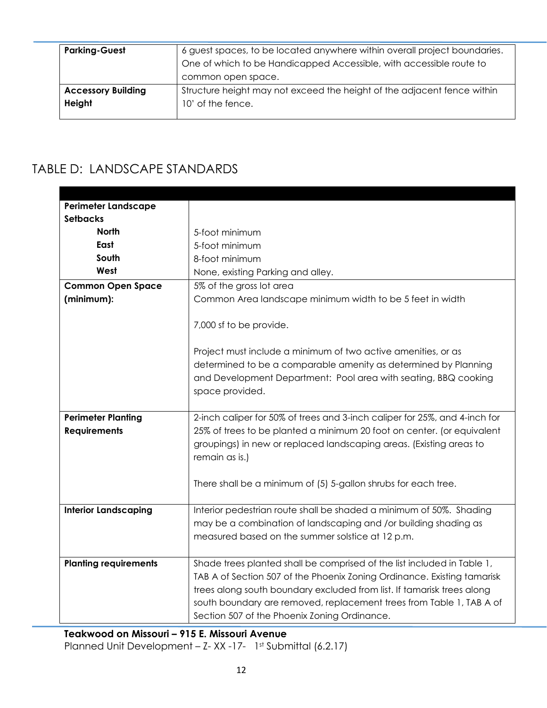| <b>Parking-Guest</b>      | 6 guest spaces, to be located anywhere within overall project boundaries. |
|---------------------------|---------------------------------------------------------------------------|
|                           | One of which to be Handicapped Accessible, with accessible route to       |
|                           | common open space.                                                        |
| <b>Accessory Building</b> | Structure height may not exceed the height of the adjacent fence within   |
| Height                    | 10' of the fence.                                                         |
|                           |                                                                           |

## TABLE D: LANDSCAPE STANDARDS

| <b>Perimeter Landscape</b>   |                                                                            |
|------------------------------|----------------------------------------------------------------------------|
| <b>Setbacks</b>              |                                                                            |
| <b>North</b>                 | 5-foot minimum                                                             |
| East                         | 5-foot minimum                                                             |
| South                        | 8-foot minimum                                                             |
| West                         | None, existing Parking and alley.                                          |
| <b>Common Open Space</b>     | 5% of the gross lot area                                                   |
| (minimum):                   | Common Area landscape minimum width to be 5 feet in width                  |
|                              |                                                                            |
|                              | 7,000 sf to be provide.                                                    |
|                              |                                                                            |
|                              | Project must include a minimum of two active amenities, or as              |
|                              | determined to be a comparable amenity as determined by Planning            |
|                              | and Development Department: Pool area with seating, BBQ cooking            |
|                              | space provided.                                                            |
|                              |                                                                            |
| <b>Perimeter Planting</b>    | 2-inch caliper for 50% of trees and 3-inch caliper for 25%, and 4-inch for |
| <b>Requirements</b>          | 25% of trees to be planted a minimum 20 foot on center. (or equivalent     |
|                              | groupings) in new or replaced landscaping areas. (Existing areas to        |
|                              | remain as is.)                                                             |
|                              |                                                                            |
|                              | There shall be a minimum of (5) 5-gallon shrubs for each tree.             |
|                              |                                                                            |
| <b>Interior Landscaping</b>  | Interior pedestrian route shall be shaded a minimum of 50%. Shading        |
|                              | may be a combination of landscaping and /or building shading as            |
|                              | measured based on the summer solstice at 12 p.m.                           |
|                              |                                                                            |
| <b>Planting requirements</b> | Shade trees planted shall be comprised of the list included in Table 1,    |
|                              | TAB A of Section 507 of the Phoenix Zoning Ordinance. Existing tamarisk    |
|                              | trees along south boundary excluded from list. If tamarisk trees along     |
|                              | south boundary are removed, replacement trees from Table 1, TAB A of       |
|                              | Section 507 of the Phoenix Zoning Ordinance.                               |

**Teakwood on Missouri – 915 E. Missouri Avenue** Planned Unit Development - Z- XX -17- 1st Submittal (6.2.17)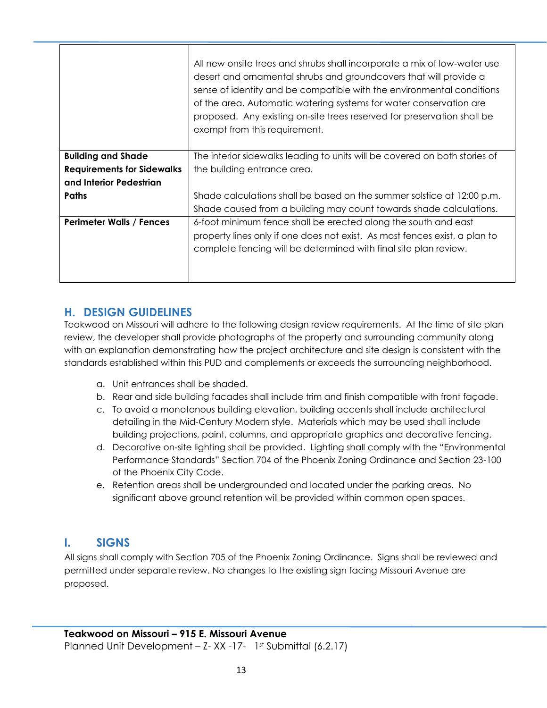|                                   | All new onsite trees and shrubs shall incorporate a mix of low-water use<br>desert and ornamental shrubs and groundcovers that will provide a<br>sense of identity and be compatible with the environmental conditions<br>of the area. Automatic watering systems for water conservation are<br>proposed. Any existing on-site trees reserved for preservation shall be<br>exempt from this requirement. |
|-----------------------------------|----------------------------------------------------------------------------------------------------------------------------------------------------------------------------------------------------------------------------------------------------------------------------------------------------------------------------------------------------------------------------------------------------------|
| <b>Building and Shade</b>         | The interior sidewalks leading to units will be covered on both stories of                                                                                                                                                                                                                                                                                                                               |
| <b>Requirements for Sidewalks</b> | the building entrance area.                                                                                                                                                                                                                                                                                                                                                                              |
| and Interior Pedestrian           |                                                                                                                                                                                                                                                                                                                                                                                                          |
| <b>Paths</b>                      | Shade calculations shall be based on the summer solstice at 12:00 p.m.                                                                                                                                                                                                                                                                                                                                   |
|                                   | Shade caused from a building may count towards shade calculations.                                                                                                                                                                                                                                                                                                                                       |
| <b>Perimeter Walls / Fences</b>   | 6-foot minimum fence shall be erected along the south and east<br>property lines only if one does not exist. As most fences exist, a plan to<br>complete fencing will be determined with final site plan review.                                                                                                                                                                                         |

## <span id="page-16-0"></span>**H. DESIGN GUIDELINES**

Teakwood on Missouri will adhere to the following design review requirements. At the time of site plan review, the developer shall provide photographs of the property and surrounding community along with an explanation demonstrating how the project architecture and site design is consistent with the standards established within this PUD and complements or exceeds the surrounding neighborhood.

- a. Unit entrances shall be shaded.
- b. Rear and side building facades shall include trim and finish compatible with front façade.
- c. To avoid a monotonous building elevation, building accents shall include architectural detailing in the Mid-Century Modern style. Materials which may be used shall include building projections, paint, columns, and appropriate graphics and decorative fencing.
- d. Decorative on-site lighting shall be provided. Lighting shall comply with the "Environmental Performance Standards" Section 704 of the Phoenix Zoning Ordinance and Section 23-100 of the Phoenix City Code.
- e. Retention areas shall be undergrounded and located under the parking areas. No significant above ground retention will be provided within common open spaces.

## <span id="page-16-1"></span>**I. SIGNS**

All signs shall comply with Section 705 of the Phoenix Zoning Ordinance. Signs shall be reviewed and permitted under separate review. No changes to the existing sign facing Missouri Avenue are proposed.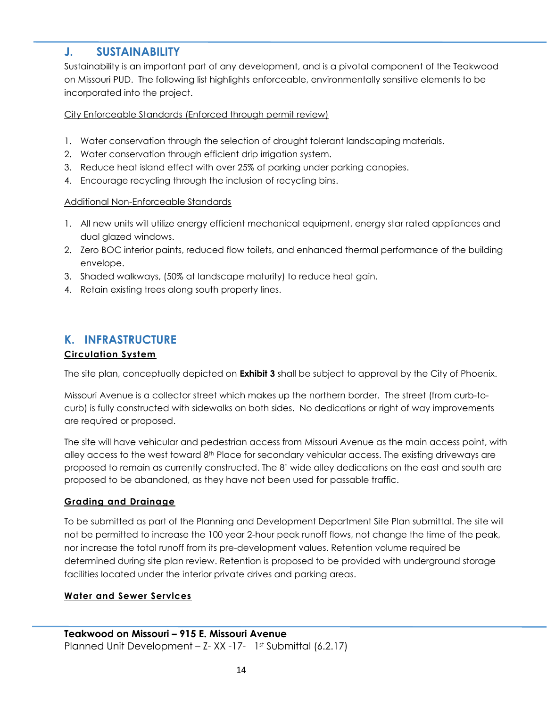## <span id="page-17-0"></span>**J. SUSTAINABILITY**

Sustainability is an important part of any development, and is a pivotal component of the Teakwood on Missouri PUD. The following list highlights enforceable, environmentally sensitive elements to be incorporated into the project.

## City Enforceable Standards (Enforced through permit review)

- 1. Water conservation through the selection of drought tolerant landscaping materials.
- 2. Water conservation through efficient drip irrigation system.
- 3. Reduce heat island effect with over 25% of parking under parking canopies.
- 4. Encourage recycling through the inclusion of recycling bins.

#### Additional Non-Enforceable Standards

- 1. All new units will utilize energy efficient mechanical equipment, energy star rated appliances and dual glazed windows.
- 2. Zero BOC interior paints, reduced flow toilets, and enhanced thermal performance of the building envelope.
- 3. Shaded walkways, (50% at landscape maturity) to reduce heat gain.
- 4. Retain existing trees along south property lines.

## <span id="page-17-1"></span>**K. INFRASTRUCTURE**

## **Circulation System**

The site plan, conceptually depicted on **Exhibit 3** shall be subject to approval by the City of Phoenix.

Missouri Avenue is a collector street which makes up the northern border. The street (from curb-tocurb) is fully constructed with sidewalks on both sides. No dedications or right of way improvements are required or proposed.

The site will have vehicular and pedestrian access from Missouri Avenue as the main access point, with alley access to the west toward  $8<sup>th</sup>$  Place for secondary vehicular access. The existing driveways are proposed to remain as currently constructed. The 8' wide alley dedications on the east and south are proposed to be abandoned, as they have not been used for passable traffic.

## **Grading and Drainage**

To be submitted as part of the Planning and Development Department Site Plan submittal. The site will not be permitted to increase the 100 year 2-hour peak runoff flows, not change the time of the peak, nor increase the total runoff from its pre-development values. Retention volume required be determined during site plan review. Retention is proposed to be provided with underground storage facilities located under the interior private drives and parking areas.

#### **Water and Sewer Services**